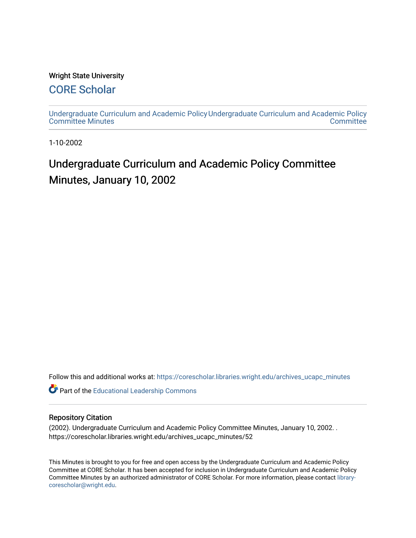#### Wright State University

### [CORE Scholar](https://corescholar.libraries.wright.edu/)

[Undergraduate Curriculum and Academic Policy](https://corescholar.libraries.wright.edu/archives_ucapc_minutes) [Undergraduate Curriculum and Academic Policy](https://corescholar.libraries.wright.edu/archives_ucapc)  [Committee Minutes](https://corescholar.libraries.wright.edu/archives_ucapc_minutes) **Committee** 

1-10-2002

## Undergraduate Curriculum and Academic Policy Committee Minutes, January 10, 2002

Follow this and additional works at: [https://corescholar.libraries.wright.edu/archives\\_ucapc\\_minutes](https://corescholar.libraries.wright.edu/archives_ucapc_minutes?utm_source=corescholar.libraries.wright.edu%2Farchives_ucapc_minutes%2F52&utm_medium=PDF&utm_campaign=PDFCoverPages) 

Part of the [Educational Leadership Commons](http://network.bepress.com/hgg/discipline/1230?utm_source=corescholar.libraries.wright.edu%2Farchives_ucapc_minutes%2F52&utm_medium=PDF&utm_campaign=PDFCoverPages) 

#### Repository Citation

(2002). Undergraduate Curriculum and Academic Policy Committee Minutes, January 10, 2002. . https://corescholar.libraries.wright.edu/archives\_ucapc\_minutes/52

This Minutes is brought to you for free and open access by the Undergraduate Curriculum and Academic Policy Committee at CORE Scholar. It has been accepted for inclusion in Undergraduate Curriculum and Academic Policy Committee Minutes by an authorized administrator of CORE Scholar. For more information, please contact [library](mailto:library-corescholar@wright.edu)[corescholar@wright.edu](mailto:library-corescholar@wright.edu).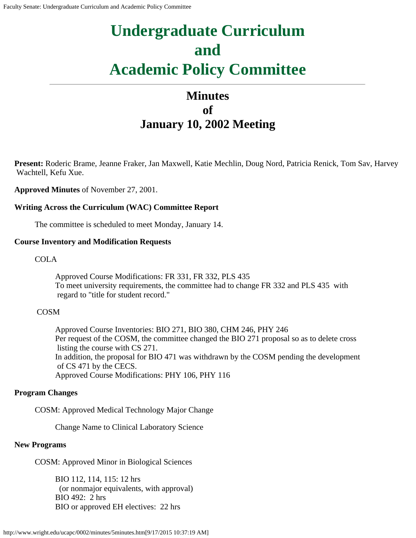# **Undergraduate Curriculum and Academic Policy Committee**

## **Minutes of January 10, 2002 Meeting**

**Present:** Roderic Brame, Jeanne Fraker, Jan Maxwell, Katie Mechlin, Doug Nord, Patricia Renick, Tom Sav, Harvey Wachtell, Kefu Xue.

**Approved Minutes** of November 27, 2001.

#### **Writing Across the Curriculum (WAC) Committee Report**

The committee is scheduled to meet Monday, January 14.

#### **Course Inventory and Modification Requests**

COLA

Approved Course Modifications: FR 331, FR 332, PLS 435 To meet university requirements, the committee had to change FR 332 and PLS 435 with regard to "title for student record."

#### COSM

Approved Course Inventories: BIO 271, BIO 380, CHM 246, PHY 246 Per request of the COSM, the committee changed the BIO 271 proposal so as to delete cross listing the course with CS 271. In addition, the proposal for BIO 471 was withdrawn by the COSM pending the development of CS 471 by the CECS. Approved Course Modifications: PHY 106, PHY 116

#### **Program Changes**

COSM: Approved Medical Technology Major Change

Change Name to Clinical Laboratory Science

#### **New Programs**

COSM: Approved Minor in Biological Sciences

BIO 112, 114, 115: 12 hrs (or nonmajor equivalents, with approval) BIO 492: 2 hrs BIO or approved EH electives: 22 hrs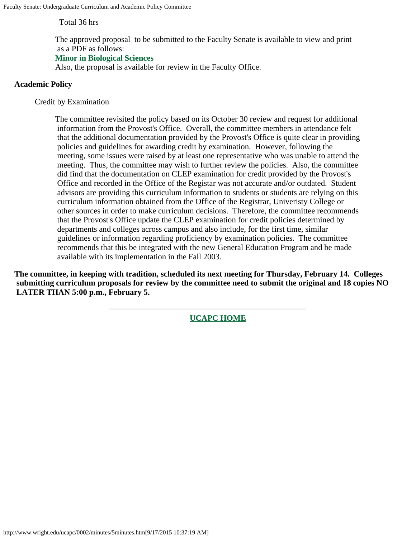Total 36 hrs

The approved proposal to be submitted to the Faculty Senate is available to view and print as a PDF as follows:

#### **[Minor in Biological Sciences](#page-3-0)**

Also, the proposal is available for review in the Faculty Office.

#### **Academic Policy**

Credit by Examination

The committee revisited the policy based on its October 30 review and request for additional information from the Provost's Office. Overall, the committee members in attendance felt that the additional documentation provided by the Provost's Office is quite clear in providing policies and guidelines for awarding credit by examination. However, following the meeting, some issues were raised by at least one representative who was unable to attend the meeting. Thus, the committee may wish to further review the policies. Also, the committee did find that the documentation on CLEP examination for credit provided by the Provost's Office and recorded in the Office of the Registar was not accurate and/or outdated. Student advisors are providing this curriculum information to students or students are relying on this curriculum information obtained from the Office of the Registrar, Univeristy College or other sources in order to make curriculum decisions. Therefore, the committee recommends that the Provost's Office update the CLEP examination for credit policies determined by departments and colleges across campus and also include, for the first time, similar guidelines or information regarding proficiency by examination policies. The committee recommends that this be integrated with the new General Education Program and be made available with its implementation in the Fall 2003.

**The committee, in keeping with tradition, scheduled its next meeting for Thursday, February 14. Colleges submitting curriculum proposals for review by the committee need to submit the original and 18 copies NO LATER THAN 5:00 p.m., February 5.**

**[UCAPC HOME](http://www.wright.edu/ucapc/index.htm)**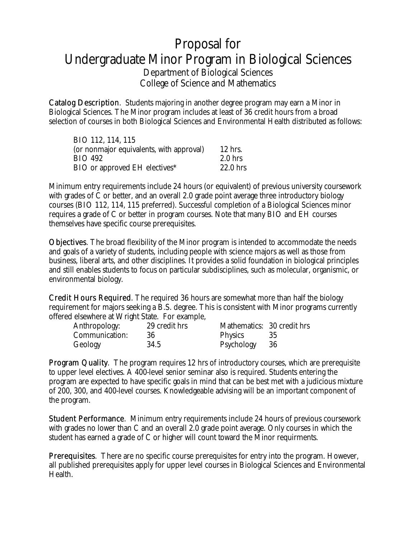## <span id="page-3-0"></span>Proposal for Undergraduate Minor Program in Biological Sciences Department of Biological Sciences College of Science and Mathematics

Catalog Description. Students majoring in another degree program may earn a Minor in Biological Sciences. The Minor program includes at least of 36 credit hours from a broad selection of courses in both Biological Sciences and Environmental Health distributed as follows:

| BIO 112, 114, 115                        |            |
|------------------------------------------|------------|
| (or nonmajor equivalents, with approval) | $12$ hrs.  |
| <b>BIO 492</b>                           | $2.0$ hrs  |
| BIO or approved EH electives*            | $22.0$ hrs |

Minimum entry requirements include 24 hours (or equivalent) of previous university coursework with grades of C or better, and an overall 2.0 grade point average three introductory biology courses (BIO 112, 114, 115 preferred). Successful completion of a Biological Sciences minor requires a grade of C or better in program courses. Note that many BIO and EH courses themselves have specific course prerequisites.

Objectives. The broad flexibility of the Minor program is intended to accommodate the needs and goals of a variety of students, including people with science majors as well as those from business, liberal arts, and other disciplines. It provides a solid foundation in biological principles and still enables students to focus on particular subdisciplines, such as molecular, organismic, or environmental biology.

Credit Hours Required. The required 36 hours are somewhat more than half the biology requirement for majors seeking a B.S. degree. This is consistent with Minor programs currently offered elsewhere at Wright State. For example,

| Anthropology:  | 29 credit hrs | Mathematics: 30 credit hrs |     |
|----------------|---------------|----------------------------|-----|
| Communication: | 36            | Physics                    |     |
| Geology        | 34.5          | Psychology                 | -36 |

Program Quality. The program requires 12 hrs of introductory courses, which are prerequisite to upper level electives. A 400-level senior seminar also is required. Students entering the program are expected to have specific goals in mind that can be best met with a judicious mixture of 200, 300, and 400-level courses. Knowledgeable advising will be an important component of the program.

Student Performance. Minimum entry requirements include 24 hours of previous coursework with grades no lower than C and an overall 2.0 grade point average. Only courses in which the student has earned a grade of C or higher will count toward the Minor requirments.

Prerequisites. There are no specific course prerequisites for entry into the program. However, all published prerequisites apply for upper level courses in Biological Sciences and Environmental Health.